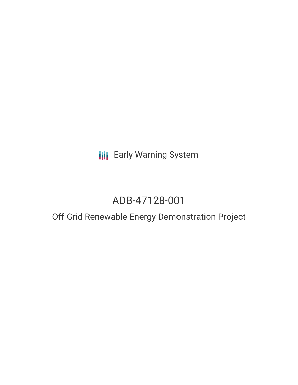**III** Early Warning System

# ADB-47128-001

## Off-Grid Renewable Energy Demonstration Project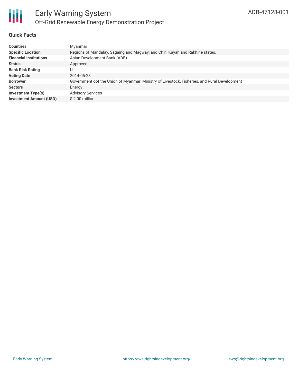

#### **Quick Facts**

| <b>Countries</b>               | Myanmar                                                                                      |
|--------------------------------|----------------------------------------------------------------------------------------------|
| <b>Specific Location</b>       | Regions of Mandalay, Sagaing and Magway; and Chin, Kayah and Rakhine states.                 |
| <b>Financial Institutions</b>  | Asian Development Bank (ADB)                                                                 |
| <b>Status</b>                  | Approved                                                                                     |
| <b>Bank Risk Rating</b>        |                                                                                              |
| <b>Voting Date</b>             | 2014-05-23                                                                                   |
| <b>Borrower</b>                | Government oof the Union of Myanmar, Ministry of Livestock, Fisheries, and Rural Development |
| <b>Sectors</b>                 | Energy                                                                                       |
| <b>Investment Type(s)</b>      | <b>Advisory Services</b>                                                                     |
| <b>Investment Amount (USD)</b> | \$2.00 million                                                                               |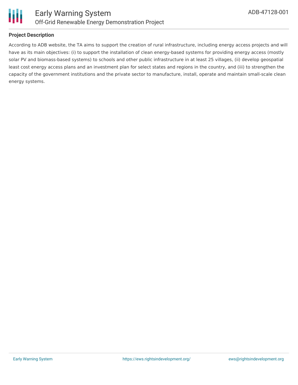



#### **Project Description**

According to ADB website, the TA aims to support the creation of rural infrastructure, including energy access projects and will have as its main objectives: (i) to support the installation of clean energy-based systems for providing energy access (mostly solar PV and biomass-based systems) to schools and other public infrastructure in at least 25 villages, (ii) develop geospatial least cost energy access plans and an investment plan for select states and regions in the country, and (iii) to strengthen the capacity of the government institutions and the private sector to manufacture, install, operate and maintain small-scale clean energy systems.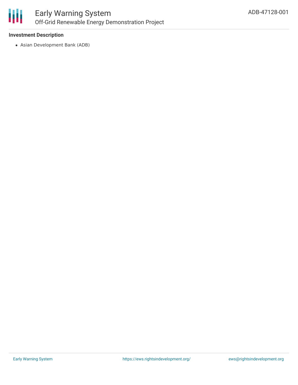

#### **Investment Description**

Asian Development Bank (ADB)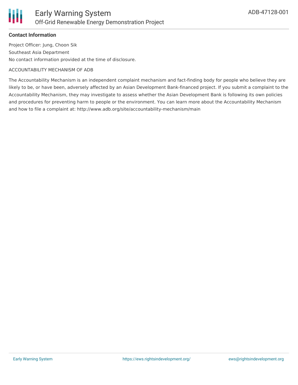### **Contact Information**

Project Officer: Jung, Choon Sik Southeast Asia Department No contact information provided at the time of disclosure.

#### ACCOUNTABILITY MECHANISM OF ADB

The Accountability Mechanism is an independent complaint mechanism and fact-finding body for people who believe they are likely to be, or have been, adversely affected by an Asian Development Bank-financed project. If you submit a complaint to the Accountability Mechanism, they may investigate to assess whether the Asian Development Bank is following its own policies and procedures for preventing harm to people or the environment. You can learn more about the Accountability Mechanism and how to file a complaint at: http://www.adb.org/site/accountability-mechanism/main